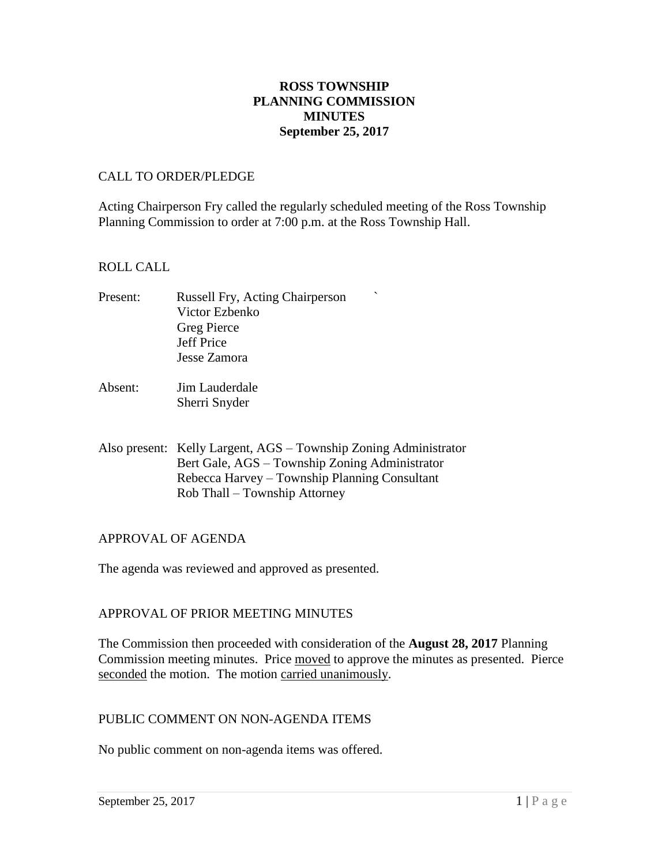### **ROSS TOWNSHIP PLANNING COMMISSION MINUTES September 25, 2017**

#### CALL TO ORDER/PLEDGE

Acting Chairperson Fry called the regularly scheduled meeting of the Ross Township Planning Commission to order at 7:00 p.m. at the Ross Township Hall.

### ROLL CALL

- Present: Russell Fry, Acting Chairperson Victor Ezbenko Greg Pierce Jeff Price Jesse Zamora
- Absent: Jim Lauderdale Sherri Snyder
- Also present: Kelly Largent, AGS Township Zoning Administrator Bert Gale, AGS – Township Zoning Administrator Rebecca Harvey – Township Planning Consultant Rob Thall – Township Attorney

#### APPROVAL OF AGENDA

The agenda was reviewed and approved as presented.

### APPROVAL OF PRIOR MEETING MINUTES

The Commission then proceeded with consideration of the **August 28, 2017** Planning Commission meeting minutes. Price moved to approve the minutes as presented. Pierce seconded the motion. The motion carried unanimously.

#### PUBLIC COMMENT ON NON-AGENDA ITEMS

No public comment on non-agenda items was offered.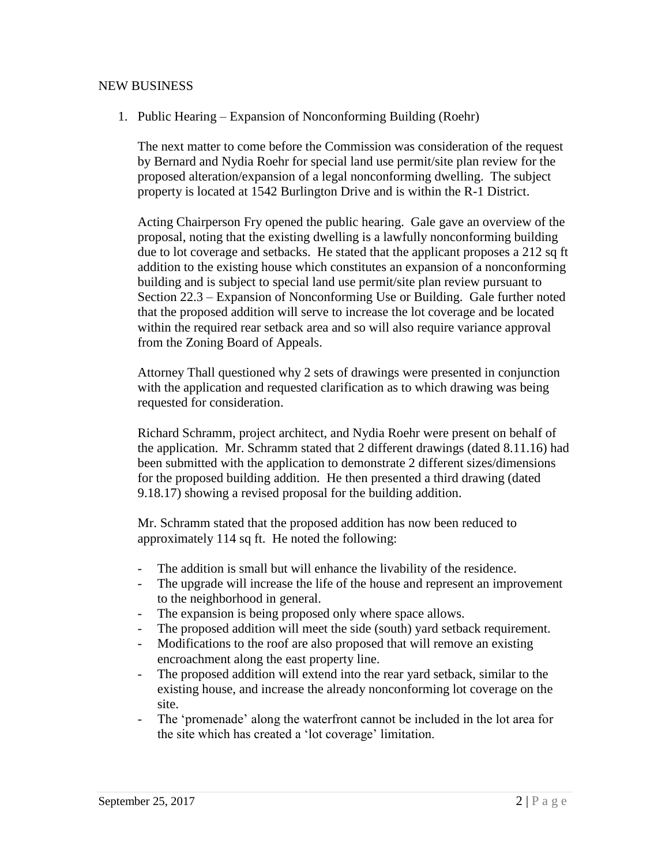#### NEW BUSINESS

1. Public Hearing – Expansion of Nonconforming Building (Roehr)

The next matter to come before the Commission was consideration of the request by Bernard and Nydia Roehr for special land use permit/site plan review for the proposed alteration/expansion of a legal nonconforming dwelling. The subject property is located at 1542 Burlington Drive and is within the R-1 District.

Acting Chairperson Fry opened the public hearing. Gale gave an overview of the proposal, noting that the existing dwelling is a lawfully nonconforming building due to lot coverage and setbacks. He stated that the applicant proposes a 212 sq ft addition to the existing house which constitutes an expansion of a nonconforming building and is subject to special land use permit/site plan review pursuant to Section 22.3 – Expansion of Nonconforming Use or Building. Gale further noted that the proposed addition will serve to increase the lot coverage and be located within the required rear setback area and so will also require variance approval from the Zoning Board of Appeals.

Attorney Thall questioned why 2 sets of drawings were presented in conjunction with the application and requested clarification as to which drawing was being requested for consideration.

Richard Schramm, project architect, and Nydia Roehr were present on behalf of the application. Mr. Schramm stated that 2 different drawings (dated 8.11.16) had been submitted with the application to demonstrate 2 different sizes/dimensions for the proposed building addition. He then presented a third drawing (dated 9.18.17) showing a revised proposal for the building addition.

Mr. Schramm stated that the proposed addition has now been reduced to approximately 114 sq ft. He noted the following:

- The addition is small but will enhance the livability of the residence.
- The upgrade will increase the life of the house and represent an improvement to the neighborhood in general.
- The expansion is being proposed only where space allows.
- The proposed addition will meet the side (south) yard setback requirement.
- Modifications to the roof are also proposed that will remove an existing encroachment along the east property line.
- The proposed addition will extend into the rear yard setback, similar to the existing house, and increase the already nonconforming lot coverage on the site.
- The 'promenade' along the waterfront cannot be included in the lot area for the site which has created a 'lot coverage' limitation.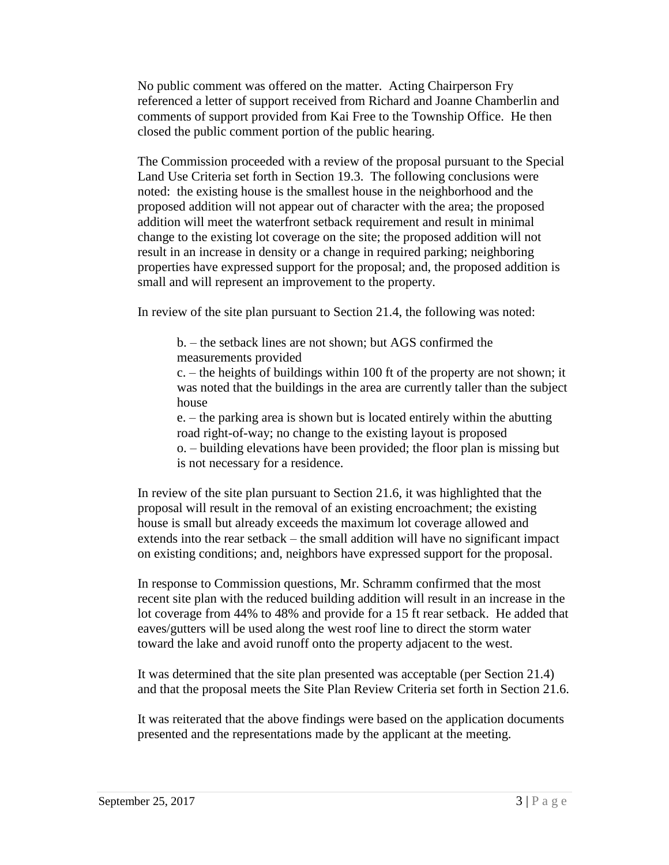No public comment was offered on the matter. Acting Chairperson Fry referenced a letter of support received from Richard and Joanne Chamberlin and comments of support provided from Kai Free to the Township Office. He then closed the public comment portion of the public hearing.

The Commission proceeded with a review of the proposal pursuant to the Special Land Use Criteria set forth in Section 19.3. The following conclusions were noted: the existing house is the smallest house in the neighborhood and the proposed addition will not appear out of character with the area; the proposed addition will meet the waterfront setback requirement and result in minimal change to the existing lot coverage on the site; the proposed addition will not result in an increase in density or a change in required parking; neighboring properties have expressed support for the proposal; and, the proposed addition is small and will represent an improvement to the property.

In review of the site plan pursuant to Section 21.4, the following was noted:

b. – the setback lines are not shown; but AGS confirmed the measurements provided

c. – the heights of buildings within 100 ft of the property are not shown; it was noted that the buildings in the area are currently taller than the subject house

e. – the parking area is shown but is located entirely within the abutting road right-of-way; no change to the existing layout is proposed o. – building elevations have been provided; the floor plan is missing but is not necessary for a residence.

In review of the site plan pursuant to Section 21.6, it was highlighted that the proposal will result in the removal of an existing encroachment; the existing house is small but already exceeds the maximum lot coverage allowed and extends into the rear setback – the small addition will have no significant impact on existing conditions; and, neighbors have expressed support for the proposal.

In response to Commission questions, Mr. Schramm confirmed that the most recent site plan with the reduced building addition will result in an increase in the lot coverage from 44% to 48% and provide for a 15 ft rear setback. He added that eaves/gutters will be used along the west roof line to direct the storm water toward the lake and avoid runoff onto the property adjacent to the west.

It was determined that the site plan presented was acceptable (per Section 21.4) and that the proposal meets the Site Plan Review Criteria set forth in Section 21.6.

It was reiterated that the above findings were based on the application documents presented and the representations made by the applicant at the meeting.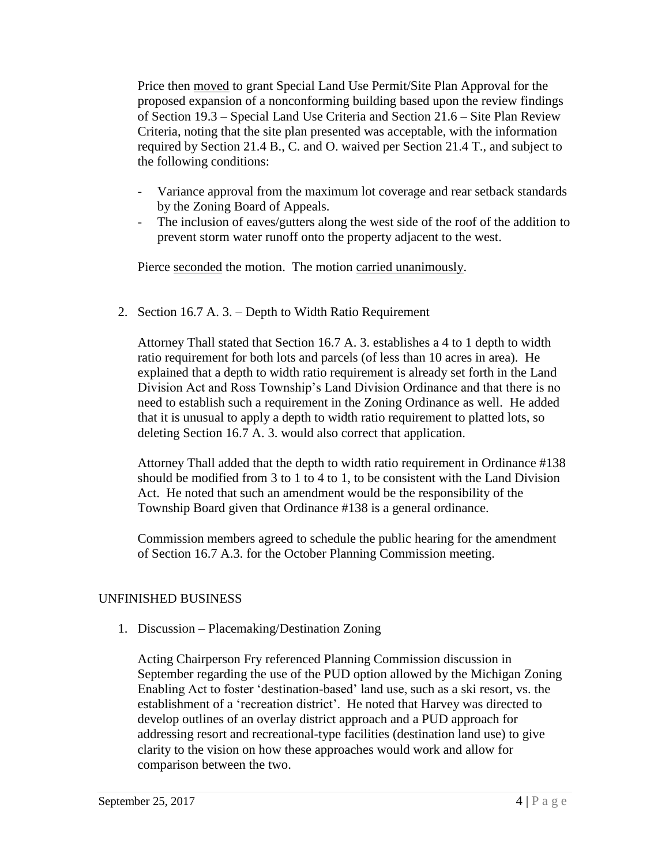Price then moved to grant Special Land Use Permit/Site Plan Approval for the proposed expansion of a nonconforming building based upon the review findings of Section 19.3 – Special Land Use Criteria and Section 21.6 – Site Plan Review Criteria, noting that the site plan presented was acceptable, with the information required by Section 21.4 B., C. and O. waived per Section 21.4 T., and subject to the following conditions:

- Variance approval from the maximum lot coverage and rear setback standards by the Zoning Board of Appeals.
- The inclusion of eaves/gutters along the west side of the roof of the addition to prevent storm water runoff onto the property adjacent to the west.

Pierce seconded the motion. The motion carried unanimously.

2. Section 16.7 A. 3. – Depth to Width Ratio Requirement

Attorney Thall stated that Section 16.7 A. 3. establishes a 4 to 1 depth to width ratio requirement for both lots and parcels (of less than 10 acres in area). He explained that a depth to width ratio requirement is already set forth in the Land Division Act and Ross Township's Land Division Ordinance and that there is no need to establish such a requirement in the Zoning Ordinance as well. He added that it is unusual to apply a depth to width ratio requirement to platted lots, so deleting Section 16.7 A. 3. would also correct that application.

Attorney Thall added that the depth to width ratio requirement in Ordinance #138 should be modified from 3 to 1 to 4 to 1, to be consistent with the Land Division Act. He noted that such an amendment would be the responsibility of the Township Board given that Ordinance #138 is a general ordinance.

Commission members agreed to schedule the public hearing for the amendment of Section 16.7 A.3. for the October Planning Commission meeting.

# UNFINISHED BUSINESS

1. Discussion – Placemaking/Destination Zoning

Acting Chairperson Fry referenced Planning Commission discussion in September regarding the use of the PUD option allowed by the Michigan Zoning Enabling Act to foster 'destination-based' land use, such as a ski resort, vs. the establishment of a 'recreation district'. He noted that Harvey was directed to develop outlines of an overlay district approach and a PUD approach for addressing resort and recreational-type facilities (destination land use) to give clarity to the vision on how these approaches would work and allow for comparison between the two.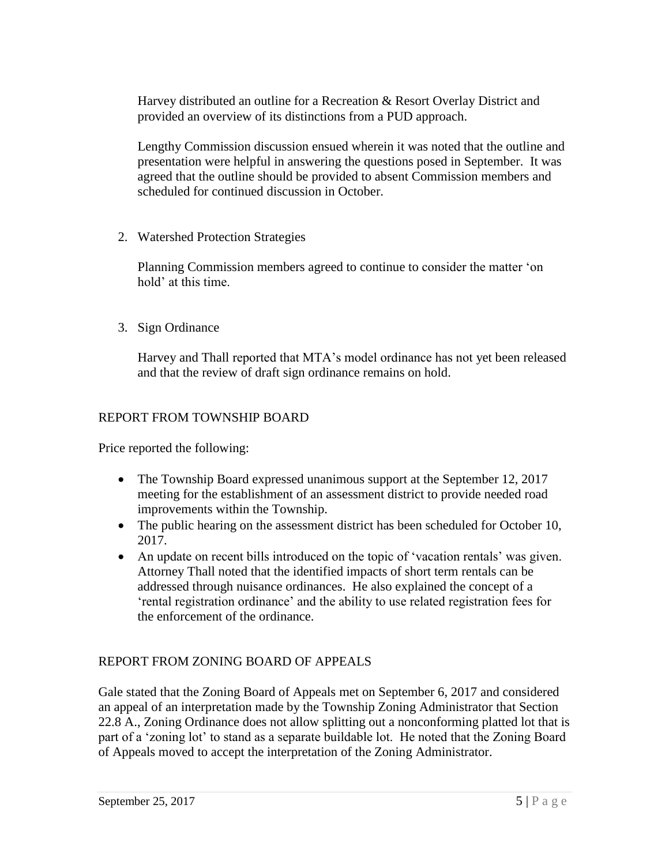Harvey distributed an outline for a Recreation & Resort Overlay District and provided an overview of its distinctions from a PUD approach.

Lengthy Commission discussion ensued wherein it was noted that the outline and presentation were helpful in answering the questions posed in September. It was agreed that the outline should be provided to absent Commission members and scheduled for continued discussion in October.

2. Watershed Protection Strategies

Planning Commission members agreed to continue to consider the matter 'on hold' at this time.

3. Sign Ordinance

Harvey and Thall reported that MTA's model ordinance has not yet been released and that the review of draft sign ordinance remains on hold.

# REPORT FROM TOWNSHIP BOARD

Price reported the following:

- The Township Board expressed unanimous support at the September 12, 2017 meeting for the establishment of an assessment district to provide needed road improvements within the Township.
- The public hearing on the assessment district has been scheduled for October 10, 2017.
- An update on recent bills introduced on the topic of 'vacation rentals' was given. Attorney Thall noted that the identified impacts of short term rentals can be addressed through nuisance ordinances. He also explained the concept of a 'rental registration ordinance' and the ability to use related registration fees for the enforcement of the ordinance.

# REPORT FROM ZONING BOARD OF APPEALS

Gale stated that the Zoning Board of Appeals met on September 6, 2017 and considered an appeal of an interpretation made by the Township Zoning Administrator that Section 22.8 A., Zoning Ordinance does not allow splitting out a nonconforming platted lot that is part of a 'zoning lot' to stand as a separate buildable lot. He noted that the Zoning Board of Appeals moved to accept the interpretation of the Zoning Administrator.